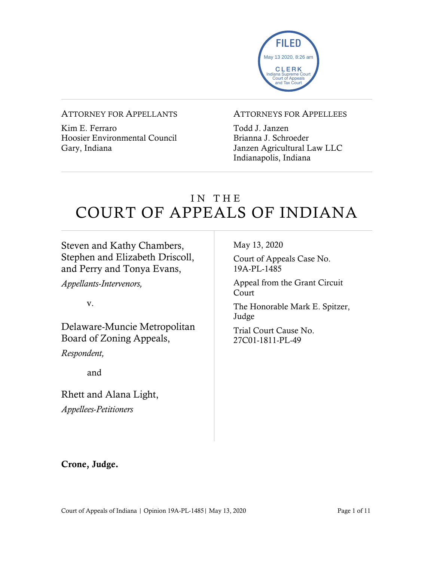

#### ATTORNEY FOR APPELLANTS

Kim E. Ferraro Hoosier Environmental Council Gary, Indiana

#### ATTORNEYS FOR APPELLEES

Todd J. Janzen Brianna J. Schroeder Janzen Agricultural Law LLC Indianapolis, Indiana

# IN THE COURT OF APPEALS OF INDIANA

## Steven and Kathy Chambers, Stephen and Elizabeth Driscoll, and Perry and Tonya Evans,

*Appellants-Intervenors,*

v.

Delaware-Muncie Metropolitan Board of Zoning Appeals,

*Respondent,*

and

Rhett and Alana Light, *Appellees-Petitioners*

May 13, 2020

Court of Appeals Case No. 19A-PL-1485

Appeal from the Grant Circuit Court

The Honorable Mark E. Spitzer, Judge

Trial Court Cause No. 27C01-1811-PL-49

Crone, Judge.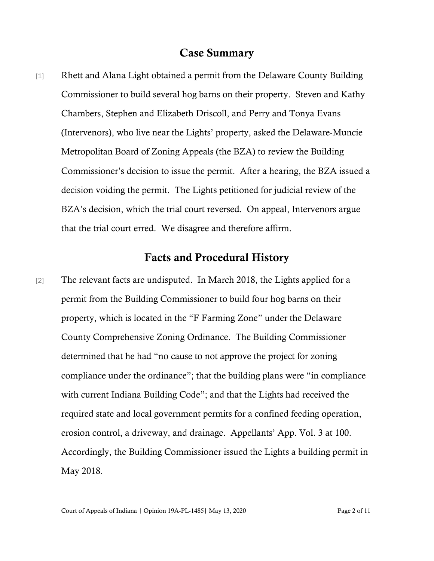#### Case Summary

[1] Rhett and Alana Light obtained a permit from the Delaware County Building Commissioner to build several hog barns on their property. Steven and Kathy Chambers, Stephen and Elizabeth Driscoll, and Perry and Tonya Evans (Intervenors), who live near the Lights' property, asked the Delaware-Muncie Metropolitan Board of Zoning Appeals (the BZA) to review the Building Commissioner's decision to issue the permit. After a hearing, the BZA issued a decision voiding the permit. The Lights petitioned for judicial review of the BZA's decision, which the trial court reversed. On appeal, Intervenors argue that the trial court erred. We disagree and therefore affirm.

### Facts and Procedural History

[2] The relevant facts are undisputed. In March 2018, the Lights applied for a permit from the Building Commissioner to build four hog barns on their property, which is located in the "F Farming Zone" under the Delaware County Comprehensive Zoning Ordinance. The Building Commissioner determined that he had "no cause to not approve the project for zoning compliance under the ordinance"; that the building plans were "in compliance with current Indiana Building Code"; and that the Lights had received the required state and local government permits for a confined feeding operation, erosion control, a driveway, and drainage. Appellants' App. Vol. 3 at 100. Accordingly, the Building Commissioner issued the Lights a building permit in May 2018.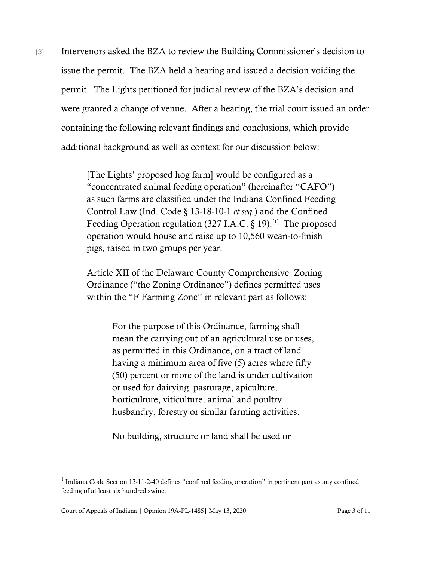[3] Intervenors asked the BZA to review the Building Commissioner's decision to issue the permit. The BZA held a hearing and issued a decision voiding the permit. The Lights petitioned for judicial review of the BZA's decision and were granted a change of venue. After a hearing, the trial court issued an order containing the following relevant findings and conclusions, which provide additional background as well as context for our discussion below:

> [The Lights' proposed hog farm] would be configured as a "concentrated animal feeding operation" (hereinafter "CAFO") as such farms are classified under the Indiana Confined Feeding Control Law (Ind. Code § 13-18-10-1 *et seq.*) and the Confined Feeding Operation regulation (327 I.A.C.  $\S$  19).<sup>[[1\]](#page-2-0)</sup> The proposed operation would house and raise up to 10,560 wean-to-finish pigs, raised in two groups per year.

Article XII of the Delaware County Comprehensive Zoning Ordinance ("the Zoning Ordinance") defines permitted uses within the "F Farming Zone" in relevant part as follows:

> For the purpose of this Ordinance, farming shall mean the carrying out of an agricultural use or uses, as permitted in this Ordinance, on a tract of land having a minimum area of five (5) acres where fifty (50) percent or more of the land is under cultivation or used for dairying, pasturage, apiculture, horticulture, viticulture, animal and poultry husbandry, forestry or similar farming activities.

No building, structure or land shall be used or

<span id="page-2-0"></span><sup>&</sup>lt;sup>1</sup> Indiana Code Section 13-11-2-40 defines "confined feeding operation" in pertinent part as any confined feeding of at least six hundred swine.

Court of Appeals of Indiana | Opinion 19A-PL-1485| May 13, 2020 Page 3 of 11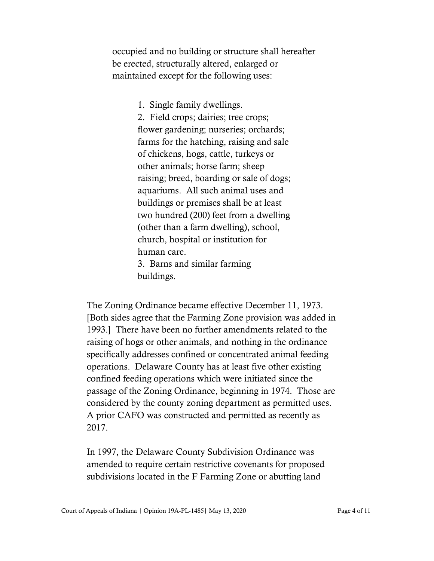occupied and no building or structure shall hereafter be erected, structurally altered, enlarged or maintained except for the following uses:

1. Single family dwellings.

2. Field crops; dairies; tree crops; flower gardening; nurseries; orchards; farms for the hatching, raising and sale of chickens, hogs, cattle, turkeys or other animals; horse farm; sheep raising; breed, boarding or sale of dogs; aquariums. All such animal uses and buildings or premises shall be at least two hundred (200) feet from a dwelling (other than a farm dwelling), school, church, hospital or institution for human care. 3. Barns and similar farming buildings.

The Zoning Ordinance became effective December 11, 1973. [Both sides agree that the Farming Zone provision was added in 1993.] There have been no further amendments related to the raising of hogs or other animals, and nothing in the ordinance specifically addresses confined or concentrated animal feeding operations. Delaware County has at least five other existing confined feeding operations which were initiated since the passage of the Zoning Ordinance, beginning in 1974. Those are considered by the county zoning department as permitted uses. A prior CAFO was constructed and permitted as recently as 2017.

In 1997, the Delaware County Subdivision Ordinance was amended to require certain restrictive covenants for proposed subdivisions located in the F Farming Zone or abutting land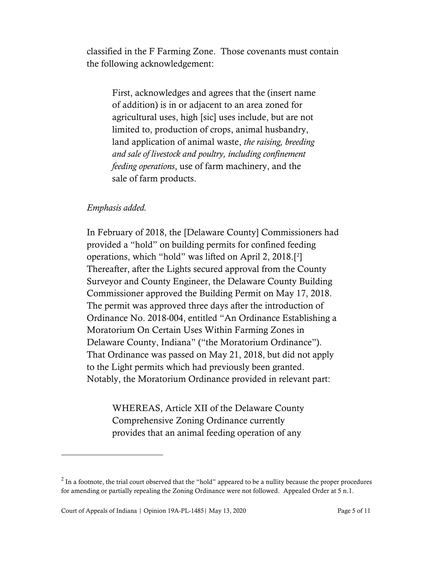classified in the F Farming Zone. Those covenants must contain the following acknowledgement:

First, acknowledges and agrees that the (insert name of addition) is in or adjacent to an area zoned for agricultural uses, high [sic] uses include, but are not limited to, production of crops, animal husbandry, land application of animal waste, *the raising, breeding and sale of livestock and poultry, including confinement feeding operations*, use of farm machinery, and the sale of farm products.

#### *Emphasis added.*

In February of 2018, the [Delaware County] Commissioners had provided a "hold" on building permits for confined feeding operations, which "hold" was lifted on April 2, 2018.[[2](#page-4-0) ] Thereafter, after the Lights secured approval from the County Surveyor and County Engineer, the Delaware County Building Commissioner approved the Building Permit on May 17, 2018. The permit was approved three days after the introduction of Ordinance No. 2018-004, entitled "An Ordinance Establishing a Moratorium On Certain Uses Within Farming Zones in Delaware County, Indiana" ("the Moratorium Ordinance"). That Ordinance was passed on May 21, 2018, but did not apply to the Light permits which had previously been granted. Notably, the Moratorium Ordinance provided in relevant part:

WHEREAS, Article XII of the Delaware County Comprehensive Zoning Ordinance currently provides that an animal feeding operation of any

<span id="page-4-0"></span> $2 \text{ In a footnote, the trial court observed that the "hold" appeared to be a nullity because the proper procedures.}$ for amending or partially repealing the Zoning Ordinance were not followed. Appealed Order at 5 n.1.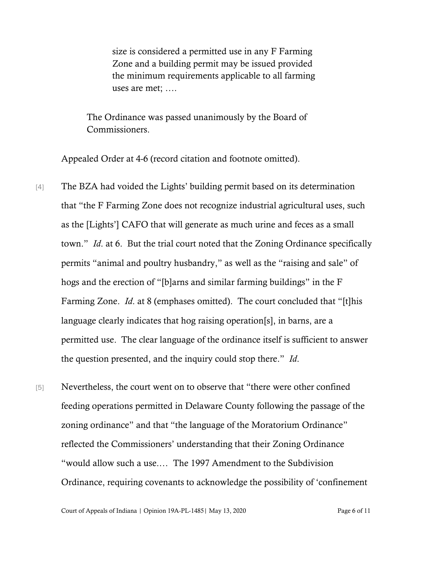size is considered a permitted use in any F Farming Zone and a building permit may be issued provided the minimum requirements applicable to all farming uses are met; ….

The Ordinance was passed unanimously by the Board of Commissioners.

Appealed Order at 4-6 (record citation and footnote omitted).

- [4] The BZA had voided the Lights' building permit based on its determination that "the F Farming Zone does not recognize industrial agricultural uses, such as the [Lights'] CAFO that will generate as much urine and feces as a small town." *Id*. at 6. But the trial court noted that the Zoning Ordinance specifically permits "animal and poultry husbandry," as well as the "raising and sale" of hogs and the erection of "[b]arns and similar farming buildings" in the F Farming Zone. *Id*. at 8 (emphases omitted). The court concluded that "[t]his language clearly indicates that hog raising operation[s], in barns, are a permitted use. The clear language of the ordinance itself is sufficient to answer the question presented, and the inquiry could stop there." *Id*.
- [5] Nevertheless, the court went on to observe that "there were other confined feeding operations permitted in Delaware County following the passage of the zoning ordinance" and that "the language of the Moratorium Ordinance" reflected the Commissioners' understanding that their Zoning Ordinance "would allow such a use.… The 1997 Amendment to the Subdivision Ordinance, requiring covenants to acknowledge the possibility of 'confinement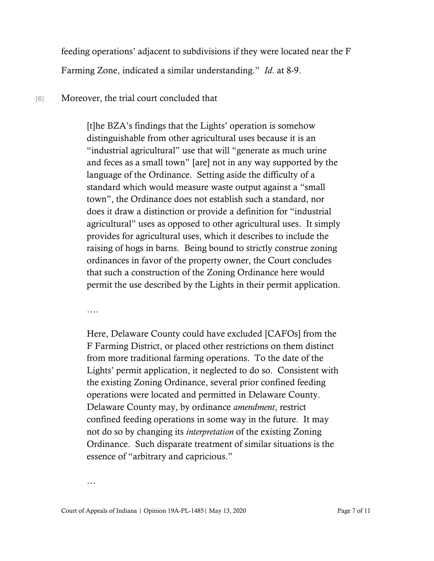feeding operations' adjacent to subdivisions if they were located near the F Farming Zone, indicated a similar understanding." *Id*. at 8-9.

#### [6] Moreover, the trial court concluded that

[t]he BZA's findings that the Lights' operation is somehow distinguishable from other agricultural uses because it is an "industrial agricultural" use that will "generate as much urine and feces as a small town" [are] not in any way supported by the language of the Ordinance. Setting aside the difficulty of a standard which would measure waste output against a "small town", the Ordinance does not establish such a standard, nor does it draw a distinction or provide a definition for "industrial agricultural" uses as opposed to other agricultural uses. It simply provides for agricultural uses, which it describes to include the raising of hogs in barns. Being bound to strictly construe zoning ordinances in favor of the property owner, the Court concludes that such a construction of the Zoning Ordinance here would permit the use described by the Lights in their permit application.

….

Here, Delaware County could have excluded [CAFOs] from the F Farming District, or placed other restrictions on them distinct from more traditional farming operations. To the date of the Lights' permit application, it neglected to do so. Consistent with the existing Zoning Ordinance, several prior confined feeding operations were located and permitted in Delaware County. Delaware County may, by ordinance *amendment*, restrict confined feeding operations in some way in the future. It may not do so by changing its *interpretation* of the existing Zoning Ordinance. Such disparate treatment of similar situations is the essence of "arbitrary and capricious."

…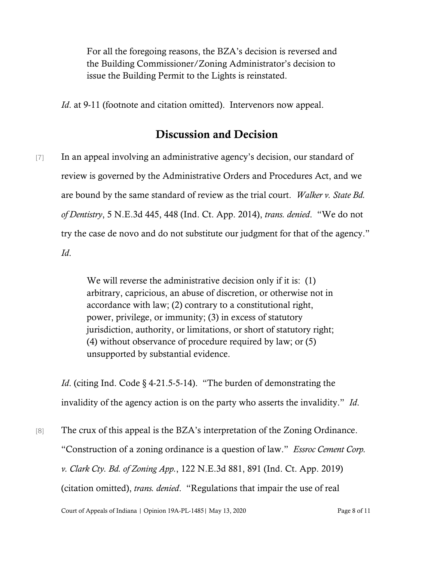For all the foregoing reasons, the BZA's decision is reversed and the Building Commissioner/Zoning Administrator's decision to issue the Building Permit to the Lights is reinstated.

*Id.* at 9-11 (footnote and citation omitted). Intervenors now appeal.

## Discussion and Decision

[7] In an appeal involving an administrative agency's decision, our standard of review is governed by the Administrative Orders and Procedures Act, and we are bound by the same standard of review as the trial court. *Walker v. State Bd. of Dentistry*, 5 N.E.3d 445, 448 (Ind. Ct. App. 2014), *trans. denied*. "We do not try the case de novo and do not substitute our judgment for that of the agency." *Id*.

> We will reverse the administrative decision only if it is: (1) arbitrary, capricious, an abuse of discretion, or otherwise not in accordance with law; (2) contrary to a constitutional right, power, privilege, or immunity; (3) in excess of statutory jurisdiction, authority, or limitations, or short of statutory right; (4) without observance of procedure required by law; or (5) unsupported by substantial evidence.

*Id.* (citing Ind. Code § 4-21.5-5-14). "The burden of demonstrating the invalidity of the agency action is on the party who asserts the invalidity." *Id*.

[8] The crux of this appeal is the BZA's interpretation of the Zoning Ordinance. "Construction of a zoning ordinance is a question of law." *Essroc Cement Corp. v. Clark Cty. Bd. of Zoning App.*, 122 N.E.3d 881, 891 (Ind. Ct. App. 2019) (citation omitted), *trans. denied*. "Regulations that impair the use of real

Court of Appeals of Indiana | Opinion 19A-PL-1485| May 13, 2020 Page 8 of 11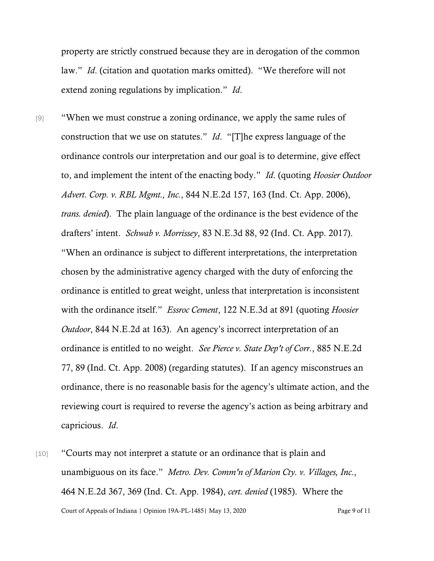property are strictly construed because they are in derogation of the common law." *Id*. (citation and quotation marks omitted). "We therefore will not extend zoning regulations by implication." *Id*.

- [9] "When we must construe a zoning ordinance, we apply the same rules of construction that we use on statutes." *Id*. "[T]he express language of the ordinance controls our interpretation and our goal is to determine, give effect to, and implement the intent of the enacting body." *Id*. (quoting *Hoosier Outdoor Advert. Corp. v. RBL Mgmt., Inc.*, 844 N.E.2d 157, 163 (Ind. Ct. App. 2006), *trans. denied*). The plain language of the ordinance is the best evidence of the drafters' intent. *Schwab v. Morrissey*, 83 N.E.3d 88, 92 (Ind. Ct. App. 2017). "When an ordinance is subject to different interpretations, the interpretation chosen by the administrative agency charged with the duty of enforcing the ordinance is entitled to great weight, unless that interpretation is inconsistent with the ordinance itself." *Essroc Cement*, 122 N.E.3d at 891 (quoting *Hoosier Outdoor*, 844 N.E.2d at 163). An agency's incorrect interpretation of an ordinance is entitled to no weight. *See Pierce v. State Dep't of Corr.*, 885 N.E.2d 77, 89 (Ind. Ct. App. 2008) (regarding statutes). If an agency misconstrues an ordinance, there is no reasonable basis for the agency's ultimate action, and the reviewing court is required to reverse the agency's action as being arbitrary and capricious. *Id*.
- Court of Appeals of Indiana | Opinion 19A-PL-1485| May 13, 2020 Page 9 of 11 [10] "Courts may not interpret a statute or an ordinance that is plain and unambiguous on its face." *Metro. Dev. Comm'n of Marion Cty. v. Villages, Inc.*, 464 N.E.2d 367, 369 (Ind. Ct. App. 1984), *cert. denied* (1985). Where the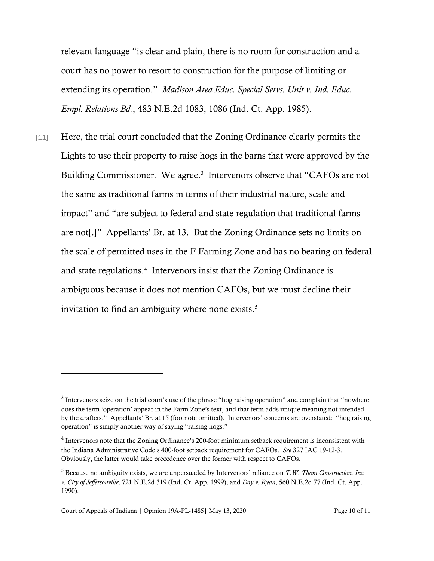relevant language "is clear and plain, there is no room for construction and a court has no power to resort to construction for the purpose of limiting or extending its operation." *Madison Area Educ. Special Servs. Unit v. Ind. Educ. Empl. Relations Bd.*, 483 N.E.2d 1083, 1086 (Ind. Ct. App. 1985).

[11] Here, the trial court concluded that the Zoning Ordinance clearly permits the Lights to use their property to raise hogs in the barns that were approved by the Building Commissioner. We agree.<sup>[3](#page-9-0)</sup> Intervenors observe that "CAFOs are not the same as traditional farms in terms of their industrial nature, scale and impact" and "are subject to federal and state regulation that traditional farms are not[.]" Appellants' Br. at 13. But the Zoning Ordinance sets no limits on the scale of permitted uses in the F Farming Zone and has no bearing on federal and state regulations.<sup>[4](#page-9-1)</sup> Intervenors insist that the Zoning Ordinance is ambiguous because it does not mention CAFOs, but we must decline their invitation to find an ambiguity where none exists. [5](#page-9-2)

<span id="page-9-0"></span> $3$  Intervenors seize on the trial court's use of the phrase "hog raising operation" and complain that "nowhere" does the term 'operation' appear in the Farm Zone's text, and that term adds unique meaning not intended by the drafters." Appellants' Br. at 15 (footnote omitted). Intervenors' concerns are overstated: "hog raising operation" is simply another way of saying "raising hogs."

<span id="page-9-1"></span><sup>&</sup>lt;sup>4</sup> Intervenors note that the Zoning Ordinance's 200-foot minimum setback requirement is inconsistent with the Indiana Administrative Code's 400-foot setback requirement for CAFOs. *See* 327 IAC 19-12-3. Obviously, the latter would take precedence over the former with respect to CAFOs.

<span id="page-9-2"></span><sup>5</sup> Because no ambiguity exists, we are unpersuaded by Intervenors' reliance on *T.W. Thom Construction, Inc.*, *v. City of Jeffersonville,* 721 N.E.2d 319 (Ind. Ct. App. 1999), and *Day v. Ryan*, 560 N.E.2d 77 (Ind. Ct. App. 1990).